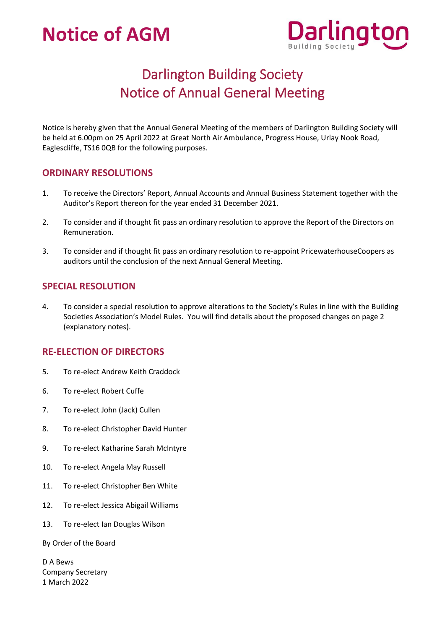

## Darlington Building Society Notice of Annual General Meeting

Notice is hereby given that the Annual General Meeting of the members of Darlington Building Society will be held at 6.00pm on 25 April 2022 at Great North Air Ambulance, Progress House, Urlay Nook Road, Eaglescliffe, TS16 0QB for the following purposes.

### **ORDINARY RESOLUTIONS**

- 1. To receive the Directors' Report, Annual Accounts and Annual Business Statement together with the Auditor's Report thereon for the year ended 31 December 2021.
- 2. To consider and if thought fit pass an ordinary resolution to approve the Report of the Directors on Remuneration.
- 3. To consider and if thought fit pass an ordinary resolution to re-appoint PricewaterhouseCoopers as auditors until the conclusion of the next Annual General Meeting.

### **SPECIAL RESOLUTION**

4. To consider a special resolution to approve alterations to the Society's Rules in line with the Building Societies Association's Model Rules. You will find details about the proposed changes on page 2 (explanatory notes).

### **RE-ELECTION OF DIRECTORS**

- 5. To re-elect Andrew Keith Craddock
- 6. To re-elect Robert Cuffe
- 7. To re-elect John (Jack) Cullen
- 8. To re-elect Christopher David Hunter
- 9. To re-elect Katharine Sarah McIntyre
- 10. To re-elect Angela May Russell
- 11. To re-elect Christopher Ben White
- 12. To re-elect Jessica Abigail Williams
- 13. To re-elect Ian Douglas Wilson

By Order of the Board

D A Bews Company Secretary 1 March 2022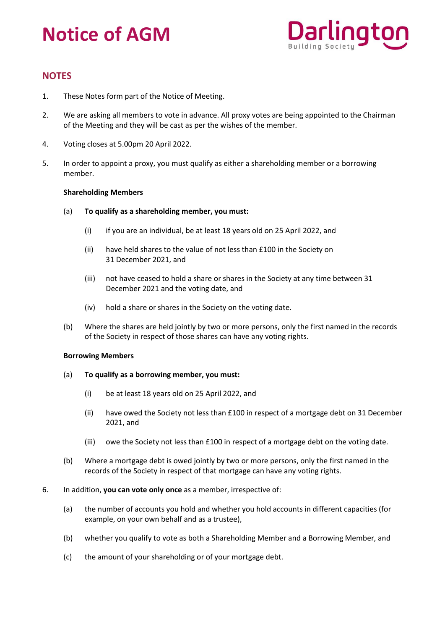

### **NOTES**

- 1. These Notes form part of the Notice of Meeting.
- 2. We are asking all members to vote in advance. All proxy votes are being appointed to the Chairman of the Meeting and they will be cast as per the wishes of the member.
- 4. Voting closes at 5.00pm 20 April 2022.
- 5. In order to appoint a proxy, you must qualify as either a shareholding member or a borrowing member.

#### **Shareholding Members**

- (a) **To qualify as a shareholding member, you must:**
	- (i) if you are an individual, be at least 18 years old on 25 April 2022, and
	- (ii) have held shares to the value of not less than £100 in the Society on 31 December 2021, and
	- (iii) not have ceased to hold a share or shares in the Society at any time between 31 December 2021 and the voting date, and
	- (iv) hold a share or shares in the Society on the voting date.
- (b) Where the shares are held jointly by two or more persons, only the first named in the records of the Society in respect of those shares can have any voting rights.

#### **Borrowing Members**

- (a) **To qualify as a borrowing member, you must:**
	- (i) be at least 18 years old on 25 April 2022, and
	- (ii) have owed the Society not less than £100 in respect of a mortgage debt on 31 December 2021, and
	- (iii) owe the Society not less than £100 in respect of a mortgage debt on the voting date.
- (b) Where a mortgage debt is owed jointly by two or more persons, only the first named in the records of the Society in respect of that mortgage can have any voting rights.
- 6. In addition, **you can vote only once** as a member, irrespective of:
	- (a) the number of accounts you hold and whether you hold accounts in different capacities (for example, on your own behalf and as a trustee),
	- (b) whether you qualify to vote as both a Shareholding Member and a Borrowing Member, and
	- (c) the amount of your shareholding or of your mortgage debt.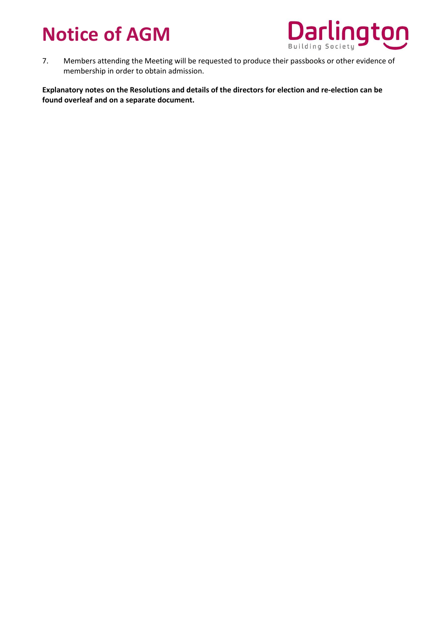

7. Members attending the Meeting will be requested to produce their passbooks or other evidence of membership in order to obtain admission.

**Explanatory notes on the Resolutions and details of the directors for election and re-election can be found overleaf and on a separate document.**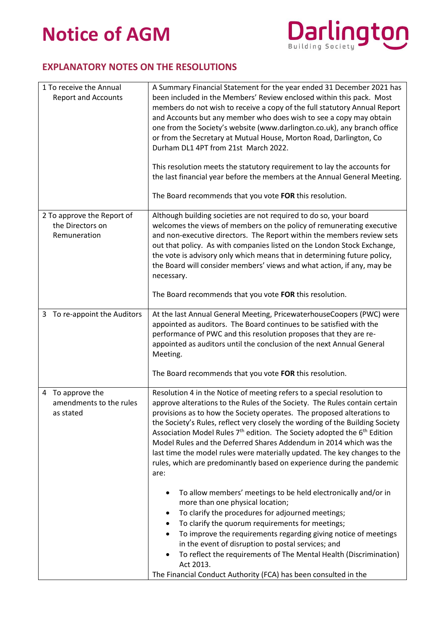

### **EXPLANATORY NOTES ON THE RESOLUTIONS**

| 1 To receive the Annual<br><b>Report and Accounts</b>          | A Summary Financial Statement for the year ended 31 December 2021 has<br>been included in the Members' Review enclosed within this pack. Most<br>members do not wish to receive a copy of the full statutory Annual Report<br>and Accounts but any member who does wish to see a copy may obtain<br>one from the Society's website (www.darlington.co.uk), any branch office<br>or from the Secretary at Mutual House, Morton Road, Darlington, Co<br>Durham DL1 4PT from 21st March 2022.<br>This resolution meets the statutory requirement to lay the accounts for<br>the last financial year before the members at the Annual General Meeting.<br>The Board recommends that you vote FOR this resolution.                                                                                                                                                                                                                                                                                                                                                                                                                                                                           |
|----------------------------------------------------------------|-----------------------------------------------------------------------------------------------------------------------------------------------------------------------------------------------------------------------------------------------------------------------------------------------------------------------------------------------------------------------------------------------------------------------------------------------------------------------------------------------------------------------------------------------------------------------------------------------------------------------------------------------------------------------------------------------------------------------------------------------------------------------------------------------------------------------------------------------------------------------------------------------------------------------------------------------------------------------------------------------------------------------------------------------------------------------------------------------------------------------------------------------------------------------------------------|
| 2 To approve the Report of<br>the Directors on<br>Remuneration | Although building societies are not required to do so, your board<br>welcomes the views of members on the policy of remunerating executive<br>and non-executive directors. The Report within the members review sets<br>out that policy. As with companies listed on the London Stock Exchange,<br>the vote is advisory only which means that in determining future policy,<br>the Board will consider members' views and what action, if any, may be<br>necessary.<br>The Board recommends that you vote FOR this resolution.                                                                                                                                                                                                                                                                                                                                                                                                                                                                                                                                                                                                                                                          |
| To re-appoint the Auditors<br>3                                | At the last Annual General Meeting, PricewaterhouseCoopers (PWC) were<br>appointed as auditors. The Board continues to be satisfied with the<br>performance of PWC and this resolution proposes that they are re-<br>appointed as auditors until the conclusion of the next Annual General<br>Meeting.<br>The Board recommends that you vote FOR this resolution.                                                                                                                                                                                                                                                                                                                                                                                                                                                                                                                                                                                                                                                                                                                                                                                                                       |
| 4 To approve the<br>amendments to the rules<br>as stated       | Resolution 4 in the Notice of meeting refers to a special resolution to<br>approve alterations to the Rules of the Society. The Rules contain certain<br>provisions as to how the Society operates. The proposed alterations to<br>the Society's Rules, reflect very closely the wording of the Building Society<br>Association Model Rules 7 <sup>th</sup> edition. The Society adopted the 6 <sup>th</sup> Edition<br>Model Rules and the Deferred Shares Addendum in 2014 which was the<br>last time the model rules were materially updated. The key changes to the<br>rules, which are predominantly based on experience during the pandemic<br>are:<br>To allow members' meetings to be held electronically and/or in<br>٠<br>more than one physical location;<br>To clarify the procedures for adjourned meetings;<br>٠<br>To clarify the quorum requirements for meetings;<br>٠<br>To improve the requirements regarding giving notice of meetings<br>$\bullet$<br>in the event of disruption to postal services; and<br>To reflect the requirements of The Mental Health (Discrimination)<br>٠<br>Act 2013.<br>The Financial Conduct Authority (FCA) has been consulted in the |